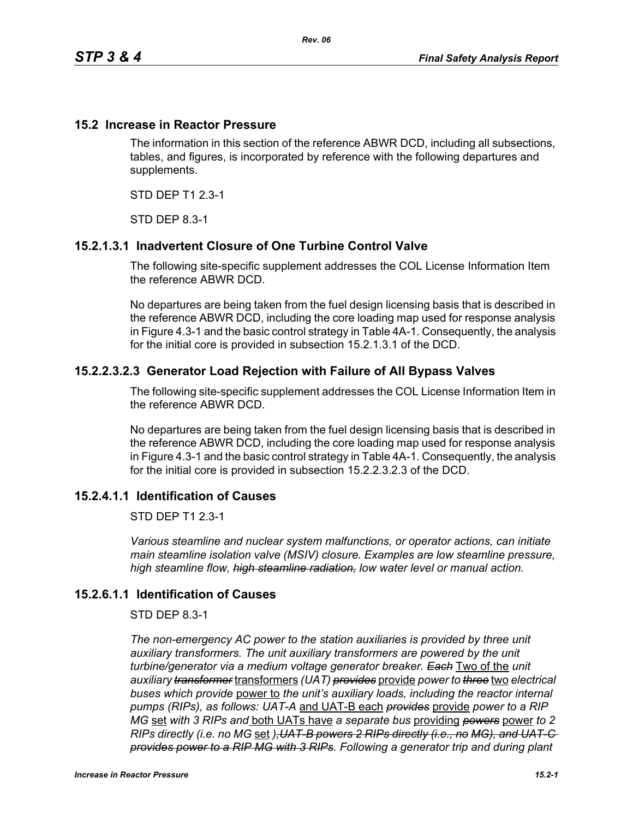## **15.2 Increase in Reactor Pressure**

The information in this section of the reference ABWR DCD, including all subsections, tables, and figures, is incorporated by reference with the following departures and supplements.

STD DEP T1 2.3-1

STD DEP 8.3-1

# **15.2.1.3.1 Inadvertent Closure of One Turbine Control Valve**

The following site-specific supplement addresses the COL License Information Item the reference ABWR DCD.

No departures are being taken from the fuel design licensing basis that is described in the reference ABWR DCD, including the core loading map used for response analysis in Figure 4.3-1 and the basic control strategy in Table 4A-1. Consequently, the analysis for the initial core is provided in subsection 15.2.1.3.1 of the DCD.

## **15.2.2.3.2.3 Generator Load Rejection with Failure of All Bypass Valves**

The following site-specific supplement addresses the COL License Information Item in the reference ABWR DCD.

No departures are being taken from the fuel design licensing basis that is described in the reference ABWR DCD, including the core loading map used for response analysis in Figure 4.3-1 and the basic control strategy in Table 4A-1. Consequently, the analysis for the initial core is provided in subsection 15.2.2.3.2.3 of the DCD.

#### **15.2.4.1.1 Identification of Causes**

STD DEP T1 2.3-1

*Various steamline and nuclear system malfunctions, or operator actions, can initiate main steamline isolation valve (MSIV) closure. Examples are low steamline pressure, high steamline flow, high steamline radiation, low water level or manual action.*

#### **15.2.6.1.1 Identification of Causes**

#### STD DEP 8.3-1

*The non-emergency AC power to the station auxiliaries is provided by three unit*  auxiliary transformers. The unit auxiliary transformers are powered by the unit *turbine/generator via a medium voltage generator breaker. Each* Two of the *unit auxiliary transformer* transformers *(UAT) provides* provide *power to three* two *electrical buses which provide* power to *the unit's auxiliary loads, including the reactor internal pumps (RIPs), as follows: UAT-A* and UAT-B each *provides* provide *power to a RIP MG* set *with 3 RIPs and* both UATs have *a separate bus* providing *powers* power *to 2 RIPs directly (i.e. no MG* set *),UAT-B powers 2 RIPs directly (i.e., no MG), and UAT-C provides power to a RIP MG with 3 RIPs. Following a generator trip and during plant*